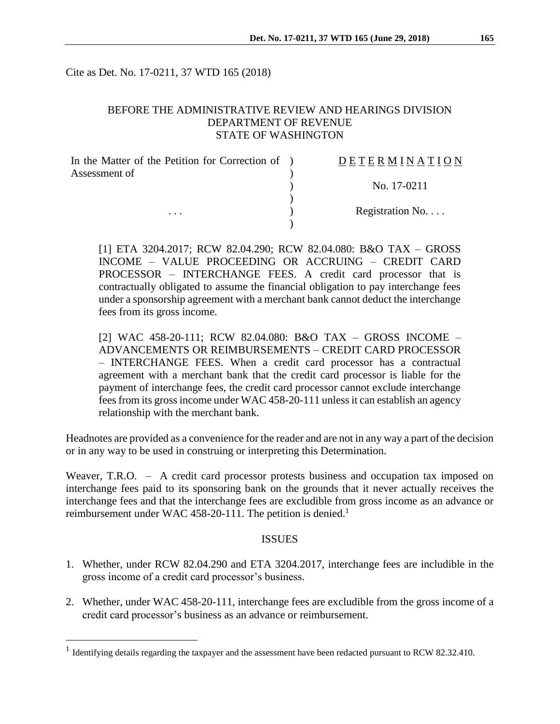Cite as Det. No. 17-0211, 37 WTD 165 (2018)

### BEFORE THE ADMINISTRATIVE REVIEW AND HEARINGS DIVISION DEPARTMENT OF REVENUE STATE OF WASHINGTON

| In the Matter of the Petition for Correction of ) | DETERMINATION            |
|---------------------------------------------------|--------------------------|
| Assessment of<br>$\cdots$                         |                          |
|                                                   | No. 17-0211              |
|                                                   |                          |
|                                                   | Registration No. $\dots$ |
|                                                   |                          |

[1] ETA 3204.2017; RCW 82.04.290; RCW 82.04.080: B&O TAX – GROSS INCOME – VALUE PROCEEDING OR ACCRUING – CREDIT CARD PROCESSOR – INTERCHANGE FEES. A credit card processor that is contractually obligated to assume the financial obligation to pay interchange fees under a sponsorship agreement with a merchant bank cannot deduct the interchange fees from its gross income.

[2] WAC 458-20-111; RCW 82.04.080: B&O TAX – GROSS INCOME – ADVANCEMENTS OR REIMBURSEMENTS – CREDIT CARD PROCESSOR – INTERCHANGE FEES. When a credit card processor has a contractual agreement with a merchant bank that the credit card processor is liable for the payment of interchange fees, the credit card processor cannot exclude interchange fees from its gross income under WAC 458-20-111 unless it can establish an agency relationship with the merchant bank.

Headnotes are provided as a convenience for the reader and are not in any way a part of the decision or in any way to be used in construing or interpreting this Determination.

Weaver, T.R.O. – A credit card processor protests business and occupation tax imposed on interchange fees paid to its sponsoring bank on the grounds that it never actually receives the interchange fees and that the interchange fees are excludible from gross income as an advance or reimbursement under WAC 458-20-111. The petition is denied.<sup>1</sup>

#### ISSUES

- 1. Whether, under RCW 82.04.290 and ETA 3204.2017, interchange fees are includible in the gross income of a credit card processor's business.
- 2. Whether, under WAC 458-20-111, interchange fees are excludible from the gross income of a credit card processor's business as an advance or reimbursement.

 $\overline{a}$ 

<sup>&</sup>lt;sup>1</sup> Identifying details regarding the taxpayer and the assessment have been redacted pursuant to RCW 82.32.410.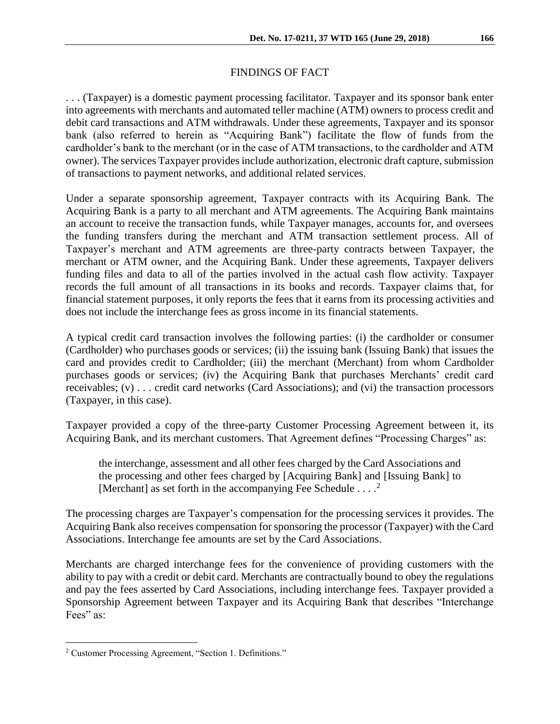# FINDINGS OF FACT

. . . (Taxpayer) is a domestic payment processing facilitator. Taxpayer and its sponsor bank enter into agreements with merchants and automated teller machine (ATM) owners to process credit and debit card transactions and ATM withdrawals. Under these agreements, Taxpayer and its sponsor bank (also referred to herein as "Acquiring Bank") facilitate the flow of funds from the cardholder's bank to the merchant (or in the case of ATM transactions, to the cardholder and ATM owner). The services Taxpayer provides include authorization, electronic draft capture, submission of transactions to payment networks, and additional related services.

Under a separate sponsorship agreement, Taxpayer contracts with its Acquiring Bank. The Acquiring Bank is a party to all merchant and ATM agreements. The Acquiring Bank maintains an account to receive the transaction funds, while Taxpayer manages, accounts for, and oversees the funding transfers during the merchant and ATM transaction settlement process. All of Taxpayer's merchant and ATM agreements are three-party contracts between Taxpayer, the merchant or ATM owner, and the Acquiring Bank. Under these agreements, Taxpayer delivers funding files and data to all of the parties involved in the actual cash flow activity. Taxpayer records the full amount of all transactions in its books and records. Taxpayer claims that, for financial statement purposes, it only reports the fees that it earns from its processing activities and does not include the interchange fees as gross income in its financial statements.

A typical credit card transaction involves the following parties: (i) the cardholder or consumer (Cardholder) who purchases goods or services; (ii) the issuing bank (Issuing Bank) that issues the card and provides credit to Cardholder; (iii) the merchant (Merchant) from whom Cardholder purchases goods or services; (iv) the Acquiring Bank that purchases Merchants' credit card receivables; (v) . . . credit card networks (Card Associations); and (vi) the transaction processors (Taxpayer, in this case).

Taxpayer provided a copy of the three-party Customer Processing Agreement between it, its Acquiring Bank, and its merchant customers. That Agreement defines "Processing Charges" as:

the interchange, assessment and all other fees charged by the Card Associations and the processing and other fees charged by [Acquiring Bank] and [Issuing Bank] to [Merchant] as set forth in the accompanying Fee Schedule  $\ldots$ .<sup>2</sup>

The processing charges are Taxpayer's compensation for the processing services it provides. The Acquiring Bank also receives compensation for sponsoring the processor (Taxpayer) with the Card Associations. Interchange fee amounts are set by the Card Associations.

Merchants are charged interchange fees for the convenience of providing customers with the ability to pay with a credit or debit card. Merchants are contractually bound to obey the regulations and pay the fees asserted by Card Associations, including interchange fees. Taxpayer provided a Sponsorship Agreement between Taxpayer and its Acquiring Bank that describes "Interchange Fees" as:

 $\overline{a}$ 

<sup>2</sup> Customer Processing Agreement, "Section 1. Definitions."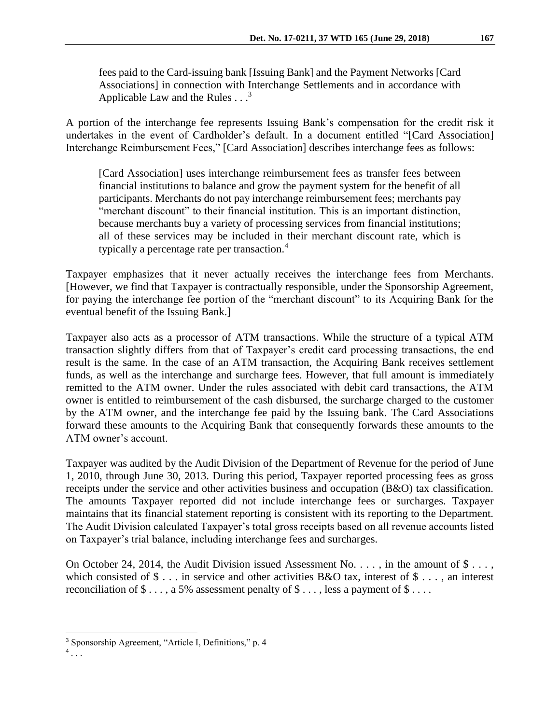fees paid to the Card-issuing bank [Issuing Bank] and the Payment Networks [Card Associations] in connection with Interchange Settlements and in accordance with Applicable Law and the Rules  $\ldots$ <sup>3</sup>

A portion of the interchange fee represents Issuing Bank's compensation for the credit risk it undertakes in the event of Cardholder's default. In a document entitled "[Card Association] Interchange Reimbursement Fees," [Card Association] describes interchange fees as follows:

[Card Association] uses interchange reimbursement fees as transfer fees between financial institutions to balance and grow the payment system for the benefit of all participants. Merchants do not pay interchange reimbursement fees; merchants pay "merchant discount" to their financial institution. This is an important distinction, because merchants buy a variety of processing services from financial institutions; all of these services may be included in their merchant discount rate, which is typically a percentage rate per transaction. 4

Taxpayer emphasizes that it never actually receives the interchange fees from Merchants. [However, we find that Taxpayer is contractually responsible, under the Sponsorship Agreement, for paying the interchange fee portion of the "merchant discount" to its Acquiring Bank for the eventual benefit of the Issuing Bank.]

Taxpayer also acts as a processor of ATM transactions. While the structure of a typical ATM transaction slightly differs from that of Taxpayer's credit card processing transactions, the end result is the same. In the case of an ATM transaction, the Acquiring Bank receives settlement funds, as well as the interchange and surcharge fees. However, that full amount is immediately remitted to the ATM owner. Under the rules associated with debit card transactions, the ATM owner is entitled to reimbursement of the cash disbursed, the surcharge charged to the customer by the ATM owner, and the interchange fee paid by the Issuing bank. The Card Associations forward these amounts to the Acquiring Bank that consequently forwards these amounts to the ATM owner's account.

Taxpayer was audited by the Audit Division of the Department of Revenue for the period of June 1, 2010, through June 30, 2013. During this period, Taxpayer reported processing fees as gross receipts under the service and other activities business and occupation (B&O) tax classification. The amounts Taxpayer reported did not include interchange fees or surcharges. Taxpayer maintains that its financial statement reporting is consistent with its reporting to the Department. The Audit Division calculated Taxpayer's total gross receipts based on all revenue accounts listed on Taxpayer's trial balance, including interchange fees and surcharges.

On October 24, 2014, the Audit Division issued Assessment No. . . . , in the amount of \$ . . . , which consisted of  $\$\ldots\]$  in service and other activities B&O tax, interest of  $\$\ldots\]$ , an interest reconciliation of  $\$\ldots$ , a 5% assessment penalty of  $\$\ldots$ , less a payment of  $\$\ldots$ .

 $\overline{a}$ 

<sup>3</sup> Sponsorship Agreement, "Article I, Definitions," p. 4

<sup>4</sup> *. . .*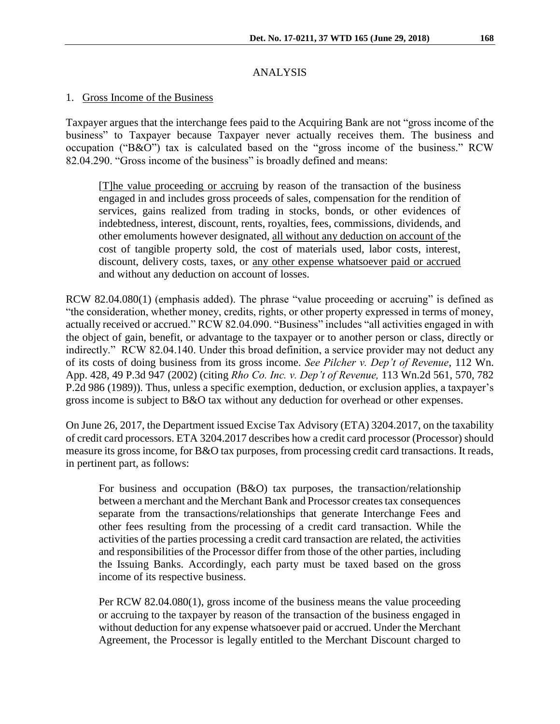# ANALYSIS

#### 1. Gross Income of the Business

Taxpayer argues that the interchange fees paid to the Acquiring Bank are not "gross income of the business" to Taxpayer because Taxpayer never actually receives them. The business and occupation ("B&O") tax is calculated based on the "gross income of the business." RCW 82.04.290. "Gross income of the business" is broadly defined and means:

[T]he value proceeding or accruing by reason of the transaction of the business engaged in and includes gross proceeds of sales, compensation for the rendition of services, gains realized from trading in stocks, bonds, or other evidences of indebtedness, interest, discount, rents, royalties, fees, commissions, dividends, and other emoluments however designated, all without any deduction on account of the cost of tangible property sold, the cost of materials used, labor costs, interest, discount, delivery costs, taxes, or any other expense whatsoever paid or accrued and without any deduction on account of losses.

RCW 82.04.080(1) (emphasis added). The phrase "value proceeding or accruing" is defined as "the consideration, whether money, credits, rights, or other property expressed in terms of money, actually received or accrued." RCW 82.04.090. "Business" includes "all activities engaged in with the object of gain, benefit, or advantage to the taxpayer or to another person or class, directly or indirectly." RCW 82.04.140. Under this broad definition, a service provider may not deduct any of its costs of doing business from its gross income. *See Pilcher v. Dep't of Revenue*, 112 Wn. App. 428, 49 P.3d 947 (2002) (citing *Rho Co. Inc. v. Dep't of Revenue,* 113 Wn.2d 561, 570, 782 P.2d 986 (1989)). Thus, unless a specific exemption, deduction, or exclusion applies, a taxpayer's gross income is subject to B&O tax without any deduction for overhead or other expenses.

On June 26, 2017, the Department issued Excise Tax Advisory (ETA) 3204.2017, on the taxability of credit card processors. ETA 3204.2017 describes how a credit card processor (Processor) should measure its gross income, for B&O tax purposes, from processing credit card transactions. It reads, in pertinent part, as follows:

For business and occupation (B&O) tax purposes, the transaction/relationship between a merchant and the Merchant Bank and Processor creates tax consequences separate from the transactions/relationships that generate Interchange Fees and other fees resulting from the processing of a credit card transaction. While the activities of the parties processing a credit card transaction are related, the activities and responsibilities of the Processor differ from those of the other parties, including the Issuing Banks. Accordingly, each party must be taxed based on the gross income of its respective business.

Per RCW 82.04.080(1), gross income of the business means the value proceeding or accruing to the taxpayer by reason of the transaction of the business engaged in without deduction for any expense whatsoever paid or accrued. Under the Merchant Agreement, the Processor is legally entitled to the Merchant Discount charged to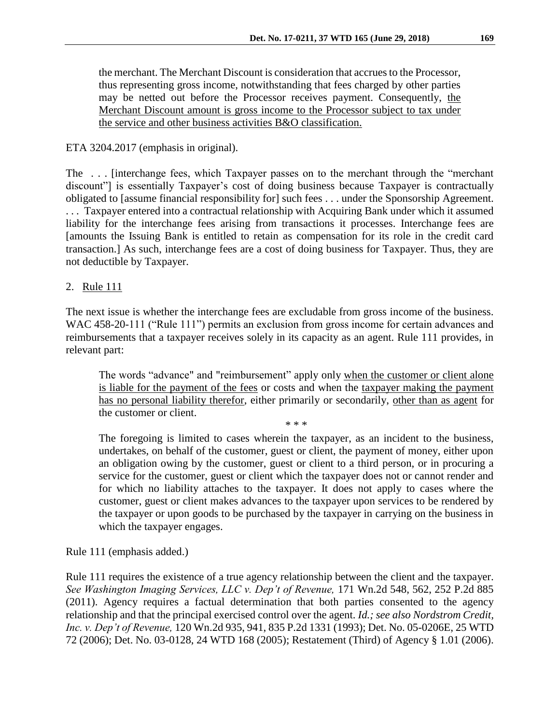the merchant. The Merchant Discount is consideration that accrues to the Processor, thus representing gross income, notwithstanding that fees charged by other parties may be netted out before the Processor receives payment. Consequently, the Merchant Discount amount is gross income to the Processor subject to tax under the service and other business activities B&O classification.

### ETA 3204.2017 (emphasis in original).

The . . . [interchange fees, which Taxpayer passes on to the merchant through the "merchant discount"] is essentially Taxpayer's cost of doing business because Taxpayer is contractually obligated to [assume financial responsibility for] such fees . . . under the Sponsorship Agreement. . . . Taxpayer entered into a contractual relationship with Acquiring Bank under which it assumed liability for the interchange fees arising from transactions it processes. Interchange fees are [amounts the Issuing Bank is entitled to retain as compensation for its role in the credit card transaction.] As such, interchange fees are a cost of doing business for Taxpayer. Thus, they are not deductible by Taxpayer.

## 2. Rule 111

The next issue is whether the interchange fees are excludable from gross income of the business. WAC 458-20-111 ("Rule 111") permits an exclusion from gross income for certain advances and reimbursements that a taxpayer receives solely in its capacity as an agent. Rule 111 provides, in relevant part:

The words "advance" and "reimbursement" apply only when the customer or client alone is liable for the payment of the fees or costs and when the taxpayer making the payment has no personal liability therefor, either primarily or secondarily, other than as agent for the customer or client.

\* \* \*

The foregoing is limited to cases wherein the taxpayer, as an incident to the business, undertakes, on behalf of the customer, guest or client, the payment of money, either upon an obligation owing by the customer, guest or client to a third person, or in procuring a service for the customer, guest or client which the taxpayer does not or cannot render and for which no liability attaches to the taxpayer. It does not apply to cases where the customer, guest or client makes advances to the taxpayer upon services to be rendered by the taxpayer or upon goods to be purchased by the taxpayer in carrying on the business in which the taxpayer engages.

Rule 111 (emphasis added.)

Rule 111 requires the existence of a true agency relationship between the client and the taxpayer. *See Washington Imaging Services, LLC v. Dep't of Revenue,* 171 Wn.2d 548, 562, 252 P.2d 885 (2011). Agency requires a factual determination that both parties consented to the agency relationship and that the principal exercised control over the agent. *Id.; see also Nordstrom Credit, Inc. v. Dep't of Revenue,* 120 Wn.2d 935, 941, 835 P.2d 1331 (1993); Det. No. 05-0206E, 25 WTD 72 (2006); Det. No. 03-0128, 24 WTD 168 (2005); Restatement (Third) of Agency § 1.01 (2006).